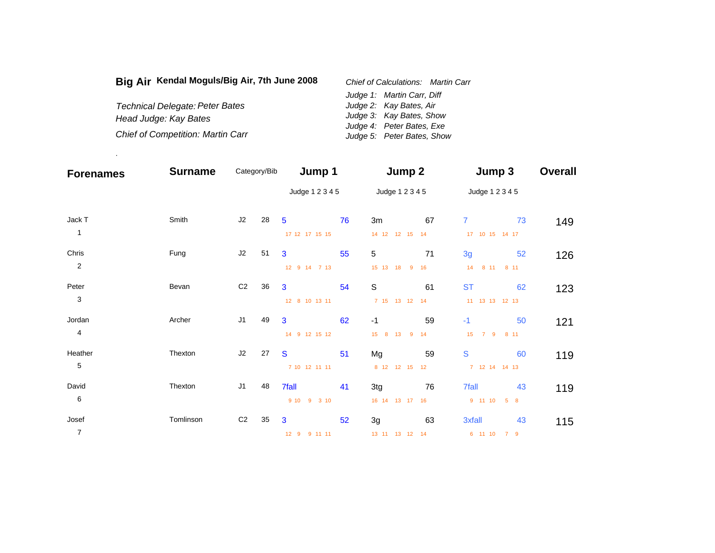| Big Air Kendal Moguls/Big Air, 7th June 2008 | Chief of Calculations: Martin Carr |                            |  |  |
|----------------------------------------------|------------------------------------|----------------------------|--|--|
|                                              |                                    | Judge 1: Martin Carr, Diff |  |  |
| <b>Technical Delegate: Peter Bates</b>       |                                    | Judge 2: Kay Bates, Air    |  |  |
| Head Judge: Kay Bates                        |                                    | Judge 3: Kay Bates, Show   |  |  |
|                                              |                                    | Judge 4: Peter Bates, Exe  |  |  |
| <b>Chief of Competition: Martin Carr</b>     |                                    | Judge 5: Peter Bates, Show |  |  |

.

| <b>Forenames</b> | <b>Surname</b> |                | Category/Bib | Jump 1          |    | Jump 2                     |    | Jump 3                       | <b>Overall</b> |
|------------------|----------------|----------------|--------------|-----------------|----|----------------------------|----|------------------------------|----------------|
|                  |                |                |              | Judge 1 2 3 4 5 |    | Judge 1 2 3 4 5            |    | Judge 1 2 3 4 5              |                |
| Jack T           | Smith          | J2             | 28           | $5\phantom{1}$  | 76 | 3m                         | 67 | $\mathbf{7}$                 | 73<br>149      |
| $\mathbf{1}$     |                |                |              | 17 12 17 15 15  |    | 14 12 12 15 14             |    | 17 10 15 14 17               |                |
| Chris            | Fung           | J2             | 51           | $\mathbf{3}$    | 55 | 5                          | 71 | 3g                           | 52<br>126      |
| $\overline{c}$   |                |                |              | 12 9 14 7 13    |    | 15 13 18<br>$\overline{9}$ | 16 | 14 8 11 8 11                 |                |
| Peter            | Bevan          | C <sub>2</sub> | 36           | 3               | 54 | $\mathbb S$                | 61 | <b>ST</b>                    | 62<br>123      |
| 3                |                |                |              | 12 8 10 13 11   |    | 7 15 13 12 14              |    | 11 13 13 12 13               |                |
| Jordan           | Archer         | J <sub>1</sub> | 49           | 3               | 62 | $-1$                       | 59 | $-1$                         | 50<br>121      |
| $\overline{4}$   |                |                |              | 14 9 12 15 12   |    | 15 8 13<br>$\overline{9}$  | 14 | 7 <sub>9</sub><br>15<br>8 11 |                |
| Heather          | Thexton        | J2             | 27           | <b>S</b>        | 51 | Mg                         | 59 | $\mathbf S$                  | 60<br>119      |
| 5                |                |                |              | 7 10 12 11 11   |    | 8 12 12 15 12              |    | 7 12 14 14 13                |                |
| David            | Thexton        | J1             | 48           | 7fall           | 41 | 3tg                        | 76 | <b>7fall</b>                 | 43<br>119      |
| $\,6$            |                |                |              | 9 10 9 3 10     |    | 16 14 13 17 16             |    | 9 11 10<br>5 8               |                |
| Josef            | Tomlinson      | C <sub>2</sub> | 35           | 3               | 52 | 3g                         | 63 | 3xfall                       | 43<br>115      |
| $\overline{7}$   |                |                |              | 12 9 9 11 11    |    | 13 11 13 12 14             |    | 6 11 10<br>79                |                |